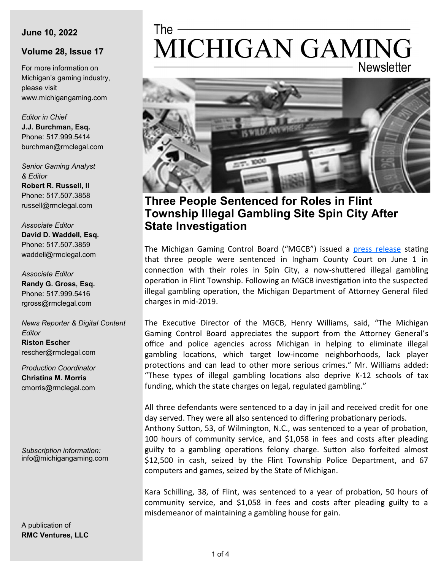#### **June 10, 2022**

#### **Volume 28, Issue 17**

For more information on Michigan's gaming industry, please visit www.michigangaming.com

*Editor in Chief* **J.J. Burchman, Esq.** Phone: 517.999.5414 burchman@rmclegal.com

*Senior Gaming Analyst & Editor* **Robert R. Russell, II** Phone: 517.507.3858 russell@rmclegal.com

*Associate Editor* **David D. Waddell, Esq.** Phone: 517.507.3859 waddell@rmclegal.com

*Associate Editor* **Randy G. Gross, Esq.** Phone: 517.999.5416 rgross@rmclegal.com

*News Reporter & Digital Content Editor* **Riston Escher** rescher@rmclegal.com

*Production Coordinator* **Christina M. Morris** cmorris@rmclegal.com

*Subscription information:* info@michigangaming.com

A publication of **RMC Ventures, LLC**

# The -MICHIGAN GAMING **Newsletter**



# **Three People Sentenced for Roles in Flint Township Illegal Gambling Site Spin City After State Investigation**

The Michigan Gaming Control Board ("MGCB") issued a [press release](https://content.govdelivery.com/accounts/MIGCB/bulletins/31ae75b) stating that three people were sentenced in Ingham County Court on June 1 in connection with their roles in Spin City, a now-shuttered illegal gambling operation in Flint Township. Following an MGCB investigation into the suspected illegal gambling operation, the Michigan Department of Attorney General filed charges in mid-2019.

The Executive Director of the MGCB, Henry Williams, said, "The Michigan Gaming Control Board appreciates the support from the Attorney General's office and police agencies across Michigan in helping to eliminate illegal gambling locations, which target low-income neighborhoods, lack player protections and can lead to other more serious crimes." Mr. Williams added: "These types of illegal gambling locations also deprive K-12 schools of tax funding, which the state charges on legal, regulated gambling."

All three defendants were sentenced to a day in jail and received credit for one day served. They were all also sentenced to differing probationary periods. Anthony Sutton, 53, of Wilmington, N.C., was sentenced to a year of probation, 100 hours of community service, and \$1,058 in fees and costs after pleading guilty to a gambling operations felony charge. Sutton also forfeited almost \$12,500 in cash, seized by the Flint Township Police Department, and 67 computers and games, seized by the State of Michigan.

Kara Schilling, 38, of Flint, was sentenced to a year of probation, 50 hours of community service, and \$1,058 in fees and costs after pleading guilty to a misdemeanor of maintaining a gambling house for gain.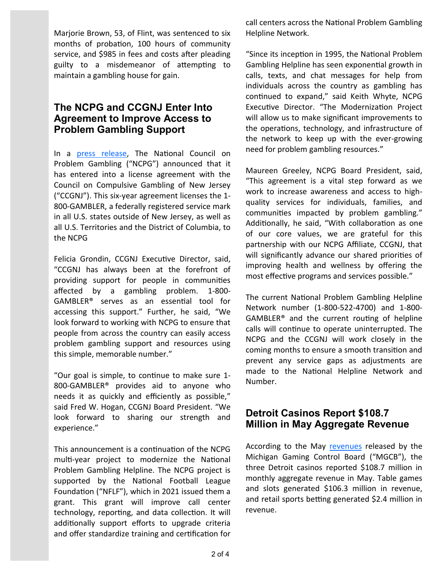Marjorie Brown, 53, of Flint, was sentenced to six months of probation, 100 hours of community service, and \$985 in fees and costs after pleading guilty to a misdemeanor of attempting to maintain a gambling house for gain.

### **The NCPG and CCGNJ Enter Into Agreement to Improve Access to Problem Gambling Support**

In a [press release,](https://www.casinovendors.com/article/ncpg-and-ccgnj-enter-license-agreement-244164/) The National Council on Problem Gambling ("NCPG") announced that it has entered into a license agreement with the Council on Compulsive Gambling of New Jersey ("CCGNJ"). This six-year agreement licenses the 1- 800-GAMBLER, a federally registered service mark in all U.S. states outside of New Jersey, as well as all U.S. Territories and the District of Columbia, to the NCPG

Felicia Grondin, CCGNJ Executive Director, said, "CCGNJ has always been at the forefront of providing support for people in communities affected by a gambling problem. 1-800- GAMBLER® serves as an essential tool for accessing this support." Further, he said, "We look forward to working with NCPG to ensure that people from across the country can easily access problem gambling support and resources using this simple, memorable number."

"Our goal is simple, to continue to make sure 1- 800-GAMBLER® provides aid to anyone who needs it as quickly and efficiently as possible," said Fred W. Hogan, CCGNJ Board President. "We look forward to sharing our strength and experience."

This announcement is a continuation of the NCPG multi-year project to modernize the National Problem Gambling Helpline. The NCPG project is supported by the National Football League Foundation ("NFLF"), which in 2021 issued them a grant. This grant will improve call center technology, reporting, and data collection. It will additionally support efforts to upgrade criteria and offer standardize training and certification for call centers across the National Problem Gambling Helpline Network.

"Since its inception in 1995, the National Problem Gambling Helpline has seen exponential growth in calls, texts, and chat messages for help from individuals across the country as gambling has continued to expand," said Keith Whyte, NCPG Executive Director. "The Modernization Project will allow us to make significant improvements to the operations, technology, and infrastructure of the network to keep up with the ever-growing need for problem gambling resources."

Maureen Greeley, NCPG Board President, said, "This agreement is a vital step forward as we work to increase awareness and access to highquality services for individuals, families, and communities impacted by problem gambling." Additionally, he said, "With collaboration as one of our core values, we are grateful for this partnership with our NCPG Affiliate, CCGNJ, that will significantly advance our shared priorities of improving health and wellness by offering the most effective programs and services possible."

The current National Problem Gambling Helpline Network number (1-800-522-4700) and 1-800- GAMBLER® and the current routing of helpline calls will continue to operate uninterrupted. The NCPG and the CCGNJ will work closely in the coming months to ensure a smooth transition and prevent any service gaps as adjustments are made to the National Helpline Network and Number.

## **Detroit Casinos Report \$108.7 Million in May Aggregate Revenue**

According to the May [revenues](https://content.govdelivery.com/accounts/MIGCB/bulletins/31b1dc4) released by the Michigan Gaming Control Board ("MGCB"), the three Detroit casinos reported \$108.7 million in monthly aggregate revenue in May. Table games and slots generated \$106.3 million in revenue, and retail sports betting generated \$2.4 million in revenue.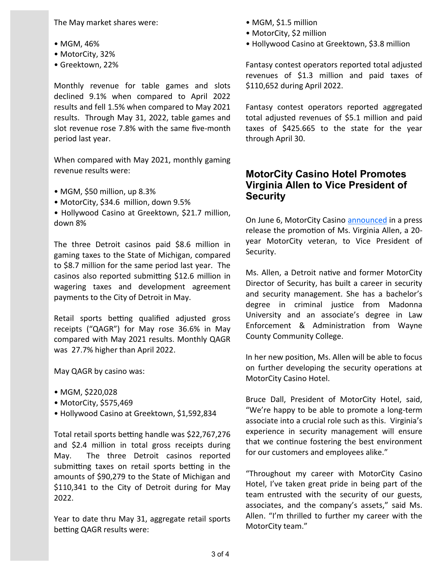The May market shares were:

- MGM, 46%
- MotorCity, 32%
- Greektown, 22%

Monthly revenue for table games and slots declined 9.1% when compared to April 2022 results and fell 1.5% when compared to May 2021 results. Through May 31, 2022, table games and slot revenue rose 7.8% with the same five-month period last year.

When compared with May 2021, monthly gaming revenue results were:

- MGM, \$50 million, up 8.3%
- MotorCity, \$34.6 million, down 9.5%
- Hollywood Casino at Greektown, \$21.7 million, down 8%

The three Detroit casinos paid \$8.6 million in gaming taxes to the State of Michigan, compared to \$8.7 million for the same period last year. The casinos also reported submitting \$12.6 million in wagering taxes and development agreement payments to the City of Detroit in May.

Retail sports betting qualified adjusted gross receipts ("QAGR") for May rose 36.6% in May compared with May 2021 results. Monthly QAGR was 27.7% higher than April 2022.

May QAGR by casino was:

- MGM, \$220,028
- MotorCity, \$575,469
- Hollywood Casino at Greektown, \$1,592,834

Total retail sports betting handle was \$22,767,276 and \$2.4 million in total gross receipts during May. The three Detroit casinos reported submitting taxes on retail sports betting in the amounts of \$90,279 to the State of Michigan and \$110,341 to the City of Detroit during for May 2022.

Year to date thru May 31, aggregate retail sports betting QAGR results were:

- MGM, \$1.5 million
- MotorCity, \$2 million
- Hollywood Casino at Greektown, \$3.8 million

Fantasy contest operators reported total adjusted revenues of \$1.3 million and paid taxes of \$110,652 during April 2022.

Fantasy contest operators reported aggregated total adjusted revenues of \$5.1 million and paid taxes of \$425.665 to the state for the year through April 30.

#### **MotorCity Casino Hotel Promotes Virginia Allen to Vice President of Security**

On June 6, MotorCity Casino [announced](https://www.prweb.com/releases/motorcity_casino_hotel_promotes_virginia_allen_to_vice_president_of_security/prweb18716429.htm) in a press release the promotion of Ms. Virginia Allen, a 20 year MotorCity veteran, to Vice President of Security.

Ms. Allen, a Detroit native and former MotorCity Director of Security, has built a career in security and security management. She has a bachelor's degree in criminal justice from Madonna University and an associate's degree in Law Enforcement & Administration from Wayne County Community College.

In her new position, Ms. Allen will be able to focus on further developing the security operations at MotorCity Casino Hotel.

Bruce Dall, President of MotorCity Hotel, said, "We're happy to be able to promote a long-term associate into a crucial role such as this. Virginia's experience in security management will ensure that we continue fostering the best environment for our customers and employees alike."

"Throughout my career with MotorCity Casino Hotel, I've taken great pride in being part of the team entrusted with the security of our guests, associates, and the company's assets," said Ms. Allen. "I'm thrilled to further my career with the MotorCity team."